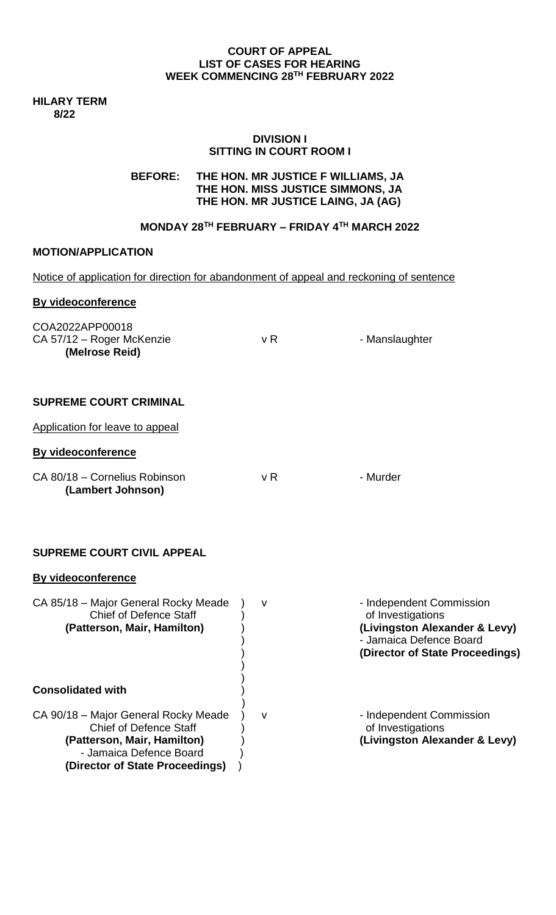#### **COURT OF APPEAL LIST OF CASES FOR HEARING WEEK COMMENCING 28TH FEBRUARY 2022**

**HILARY TERM 8/22**

### **DIVISION I SITTING IN COURT ROOM I**

# **BEFORE: THE HON. MR JUSTICE F WILLIAMS, JA THE HON. MISS JUSTICE SIMMONS, JA THE HON. MR JUSTICE LAING, JA (AG)**

# **MONDAY 28TH FEBRUARY – FRIDAY 4TH MARCH 2022**

# **MOTION/APPLICATION**

**(Director of State Proceedings)** )

| Notice of application for direction for abandonment of appeal and reckoning of sentence                                         |        |                                                                                                                                              |
|---------------------------------------------------------------------------------------------------------------------------------|--------|----------------------------------------------------------------------------------------------------------------------------------------------|
| By videoconference                                                                                                              |        |                                                                                                                                              |
| COA2022APP00018<br>CA 57/12 - Roger McKenzie<br>(Melrose Reid)                                                                  | v R    | - Manslaughter                                                                                                                               |
| <b>SUPREME COURT CRIMINAL</b>                                                                                                   |        |                                                                                                                                              |
| Application for leave to appeal                                                                                                 |        |                                                                                                                                              |
| By videoconference                                                                                                              |        |                                                                                                                                              |
| CA 80/18 - Cornelius Robinson<br>(Lambert Johnson)                                                                              | v R    | - Murder                                                                                                                                     |
| <b>SUPREME COURT CIVIL APPEAL</b>                                                                                               |        |                                                                                                                                              |
| <b>By videoconference</b>                                                                                                       |        |                                                                                                                                              |
| CA 85/18 - Major General Rocky Meade<br><b>Chief of Defence Staff</b><br>(Patterson, Mair, Hamilton)                            | v      | - Independent Commission<br>of Investigations<br>(Livingston Alexander & Levy)<br>- Jamaica Defence Board<br>(Director of State Proceedings) |
| <b>Consolidated with</b>                                                                                                        |        |                                                                                                                                              |
| CA 90/18 - Major General Rocky Meade<br><b>Chief of Defence Staff</b><br>(Patterson, Mair, Hamilton)<br>- Jamaica Defence Board | $\vee$ | - Independent Commission<br>of Investigations<br>(Livingston Alexander & Levy)                                                               |